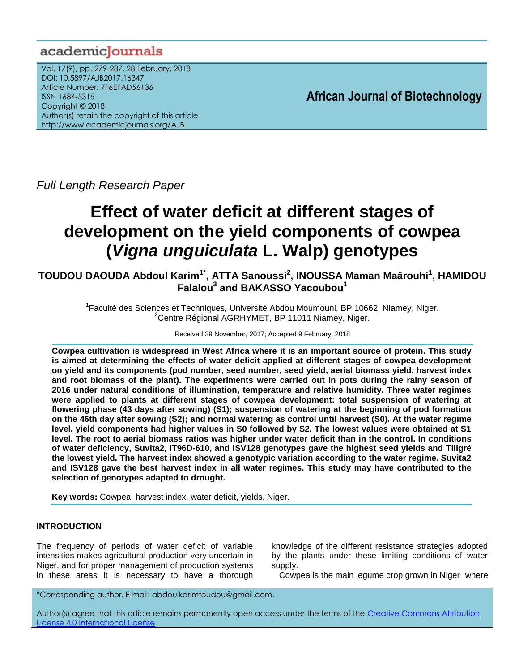# academiclournals

Vol. 17(9), pp. 279-287, 28 February, 2018 DOI: 10.5897/AJB2017.16347 Article Number: 7F6EFAD56136 ISSN 1684-5315 Copyright © 2018 Author(s) retain the copyright of this article http://www.academicjournals.org/AJB

**African Journal of Biotechnology**

*Full Length Research Paper*

# **Effect of water deficit at different stages of development on the yield components of cowpea (***Vigna unguiculata* **L. Walp) genotypes**

**TOUDOU DAOUDA Abdoul Karim1\* , ATTA Sanoussi<sup>2</sup> , INOUSSA Maman Maârouhi<sup>1</sup> , HAMIDOU Falalou<sup>3</sup> and BAKASSO Yacoubou<sup>1</sup>**

> <sup>1</sup>Faculté des Sciences et Techniques, Université Abdou Moumouni, BP 10662, Niamey, Niger. <sup>2</sup>Centre Régional AGRHYMET, BP 11011 Niamey, Niger.

> > Received 29 November, 2017; Accepted 9 February, 2018

**Cowpea cultivation is widespread in West Africa where it is an important source of protein. This study is aimed at determining the effects of water deficit applied at different stages of cowpea development on yield and its components (pod number, seed number, seed yield, aerial biomass yield, harvest index and root biomass of the plant). The experiments were carried out in pots during the rainy season of 2016 under natural conditions of illumination, temperature and relative humidity. Three water regimes were applied to plants at different stages of cowpea development: total suspension of watering at flowering phase (43 days after sowing) (S1); suspension of watering at the beginning of pod formation on the 46th day after sowing (S2); and normal watering as control until harvest (S0). At the water regime level, yield components had higher values in S0 followed by S2. The lowest values were obtained at S1 level. The root to aerial biomass ratios was higher under water deficit than in the control. In conditions of water deficiency, Suvita2, IT96D-610, and ISV128 genotypes gave the highest seed yields and Tiligré the lowest yield. The harvest index showed a genotypic variation according to the water regime. Suvita2 and ISV128 gave the best harvest index in all water regimes. This study may have contributed to the selection of genotypes adapted to drought.**

**Key words:** Cowpea, harvest index, water deficit, yields, Niger.

# **INTRODUCTION**

The frequency of periods of water deficit of variable intensities makes agricultural production very uncertain in Niger, and for proper management of production systems in these areas it is necessary to have a thorough

knowledge of the different resistance strategies adopted by the plants under these limiting conditions of water supply.

Cowpea is the main legume crop grown in Niger where

\*Corresponding author. E-mail: abdoulkarimtoudou@gmail.com.

Author(s) agree that this article remains permanently open access under the terms of the Creative Commons Attribution [License 4.0 International License](http://creativecommons.org/licenses/by/4.0/deed.en_US)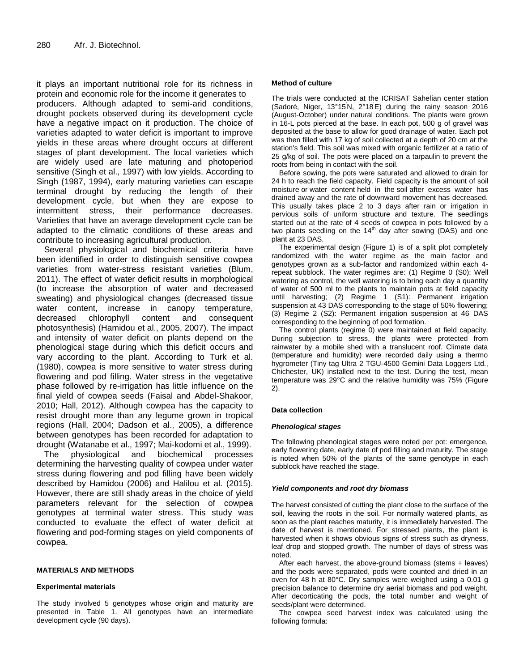it plays an important nutritional role for its richness in protein and economic role for the income it generates to producers. Although adapted to semi-arid conditions, drought pockets observed during its development cycle have a negative impact on it production. The choice of varieties adapted to water deficit is important to improve yields in these areas where drought occurs at different stages of plant development. The local varieties which are widely used are late maturing and photoperiod sensitive (Singh et al., 1997) with low yields. According to Singh (1987, 1994), early maturing varieties can escape terminal drought by reducing the length of their development cycle, but when they are expose to intermittent stress, their performance decreases. Varieties that have an average development cycle can be adapted to the climatic conditions of these areas and contribute to increasing agricultural production.

Several physiological and biochemical criteria have been identified in order to distinguish sensitive cowpea varieties from water-stress resistant varieties (Blum, 2011). The effect of water deficit results in morphological (to increase the absorption of water and decreased sweating) and physiological changes (decreased tissue water content, increase in canopy temperature, decreased chlorophyll content and consequent photosynthesis) (Hamidou et al., 2005, 2007). The impact and intensity of water deficit on plants depend on the phenological stage during which this deficit occurs and vary according to the plant. According to Turk et al. (1980), cowpea is more sensitive to water stress during flowering and pod filling. Water stress in the vegetative phase followed by re-irrigation has little influence on the final yield of cowpea seeds (Faisal and Abdel-Shakoor, 2010; Hall, 2012). Although cowpea has the capacity to resist drought more than any legume grown in tropical regions (Hall, 2004; Dadson et al., 2005), a difference between genotypes has been recorded for adaptation to drought (Watanabe et al., 1997; Mai-kodomi et al., 1999).

The physiological and biochemical processes determining the harvesting quality of cowpea under water stress during flowering and pod filling have been widely described by Hamidou (2006) and Halilou et al. (2015). However, there are still shady areas in the choice of yield parameters relevant for the selection of cowpea genotypes at terminal water stress. This study was conducted to evaluate the effect of water deficit at flowering and pod-forming stages on yield components of cowpea.

#### **MATERIALS AND METHODS**

#### **Experimental materials**

The study involved 5 genotypes whose origin and maturity are presented in Table 1. All genotypes have an intermediate development cycle (90 days).

#### **Method of culture**

The trials were conducted at the ICRISAT Sahelian center station (Sadoré, Niger, 13°15'N, 2°18'E) during the rainy season 2016 (August-October) under natural conditions. The plants were grown in 16-L pots pierced at the base. In each pot, 500 g of gravel was deposited at the base to allow for good drainage of water. Each pot was then filled with 17 kg of soil collected at a depth of 20 cm at the station's field. This soil was mixed with organic fertilizer at a ratio of 25 g/kg of soil. The pots were placed on a tarpaulin to prevent the roots from being in contact with the soil.

Before sowing, the pots were saturated and allowed to drain for 24 h to reach the field capacity. Field capacity is the amount of [soil](https://en.wikipedia.org/wiki/Soil_moisture)  [moisture](https://en.wikipedia.org/wiki/Soil_moisture) or [water content](https://en.wikipedia.org/wiki/Water_content) held in the [soil](https://en.wikipedia.org/wiki/Soil) after excess water has drained away and the rate of downward movement has decreased. This usually takes place 2 to 3 days after rain or irrigation in pervious soils of uniform structure and texture. The seedlings started out at the rate of 4 seeds of cowpea in pots followed by a two plants seedling on the  $14<sup>th</sup>$  day after sowing (DAS) and one plant at 23 DAS.

The experimental design (Figure 1) is of a split plot completely randomized with the water regime as the main factor and genotypes grown as a sub-factor and randomized within each 4 repeat subblock. The water regimes are: (1) Regime 0 (S0): Well watering as control, the well watering is to bring each day a quantity of water of 500 ml to the plants to maintain pots at field capacity until harvesting; (2) Regime 1 (S1): Permanent irrigation suspension at 43 DAS corresponding to the stage of 50% flowering; (3) Regime 2 (S2): Permanent irrigation suspension at 46 DAS corresponding to the beginning of pod formation.

The control plants (regime 0) were maintained at field capacity. During subjection to stress, the plants were protected from rainwater by a mobile shed with a translucent roof. Climate data (temperature and humidity) were recorded daily using a thermo hygrometer (Tiny tag Ultra 2 TGU-4500 Gemini Data Loggers Ltd., Chichester, UK) installed next to the test. During the test, mean temperature was 29°C and the relative humidity was 75% (Figure 2).

#### **Data collection**

#### *Phenological stages*

The following phenological stages were noted per pot: emergence, early flowering date, early date of pod filling and maturity. The stage is noted when 50% of the plants of the same genotype in each subblock have reached the stage.

#### *Yield components and root dry biomass*

The harvest consisted of cutting the plant close to the surface of the soil, leaving the roots in the soil. For normally watered plants, as soon as the plant reaches maturity, it is immediately harvested. The date of harvest is mentioned. For stressed plants, the plant is harvested when it shows obvious signs of stress such as dryness, leaf drop and stopped growth. The number of days of stress was noted.

After each harvest, the above-ground biomass (stems + leaves) and the pods were separated, pods were counted and dried in an oven for 48 h at 80°C. Dry samples were weighed using a 0.01 g precision balance to determine dry aerial biomass and pod weight. After decorticating the pods, the total number and weight of seeds/plant were determined.

The cowpea seed harvest index was calculated using the following formula: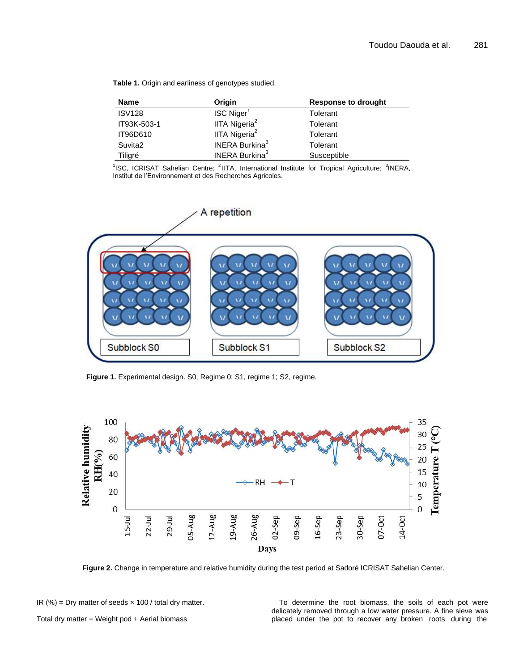| Table 1. Origin and earliness of genotypes studied. |  |  |  |
|-----------------------------------------------------|--|--|--|
|-----------------------------------------------------|--|--|--|

| <b>Name</b>   | Origin                            | <b>Response to drought</b> |
|---------------|-----------------------------------|----------------------------|
| <b>ISV128</b> | ISC Niger <sup>1</sup>            | Tolerant                   |
| IT93K-503-1   | IITA Nigeria <sup>2</sup>         | Tolerant                   |
| IT96D610      | IITA Nigeria <sup>2</sup>         | Tolerant                   |
| Suvita2       | <b>INERA Burkina</b> <sup>3</sup> | Tolerant                   |
| Tiligré       | <b>INERA Burkina</b> <sup>3</sup> | Susceptible                |

<sup>1</sup>ISC, ICRISAT Sahelian Centre; <sup>2</sup> IITA, International Institute for Tropical Agriculture; <sup>3</sup>INERA, Institut de l'Environnement et des Recherches Agricoles.



Figure 1. Experimental design. S0, Regime 0; S1, regime 1; S2, regime.



**Figure 2.** Change in temperature and relative humidity during the test period at Sadoré ICRISAT Sahelian Center.

IR (%) = Dry matter of seeds  $\times$  100 / total dry matter.

Total dry matter = Weight pod + Aerial biomass

To determine the root biomass, the soils of each pot were delicately removed through a low water pressure. A fine sieve was placed under the pot to recover any broken roots during the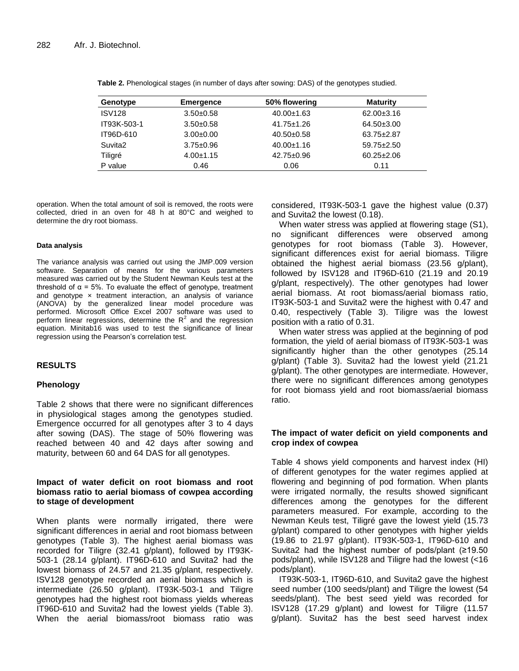| Genotype            | <b>Emergence</b> | 50% flowering    | <b>Maturity</b>  |
|---------------------|------------------|------------------|------------------|
| <b>ISV128</b>       | $3.50+0.58$      | $40.00 \pm 1.63$ | $62.00 \pm 3.16$ |
| IT93K-503-1         | $3.50+0.58$      | $41.75 \pm 1.26$ | 64.50±3.00       |
| IT96D-610           | $3.00 \pm 0.00$  | $40.50+0.58$     | 63.75±2.87       |
| Suvita <sub>2</sub> | $3.75 \pm 0.96$  | $40.00 \pm 1.16$ | $59.75 \pm 2.50$ |
| Tiligré             | $4.00 + 1.15$    | $42.75 \pm 0.96$ | $60.25 \pm 2.06$ |
| P value             | 0.46             | 0.06             | 0.11             |

**Table 2.** Phenological stages (in number of days after sowing: DAS) of the genotypes studied.

operation. When the total amount of soil is removed, the roots were collected, dried in an oven for 48 h at 80°C and weighed to determine the dry root biomass.

#### **Data analysis**

The variance analysis was carried out using the JMP.009 version software. Separation of means for the various parameters measured was carried out by the Student Newman Keuls test at the threshold of  $\alpha$  = 5%. To evaluate the effect of genotype, treatment and genotype  $\times$  treatment interaction, an analysis of variance (ANOVA) by the generalized linear model procedure was performed. Microsoft Office Excel 2007 software was used to perform linear regressions, determine the  $R^2$  and the regression equation. Minitab16 was used to test the significance of linear regression using the Pearson's correlation test.

#### **RESULTS**

#### **Phenology**

Table 2 shows that there were no significant differences in physiological stages among the genotypes studied. Emergence occurred for all genotypes after 3 to 4 days after sowing (DAS). The stage of 50% flowering was reached between 40 and 42 days after sowing and maturity, between 60 and 64 DAS for all genotypes.

# **Impact of water deficit on root biomass and root biomass ratio to aerial biomass of cowpea according to stage of development**

When plants were normally irrigated, there were significant differences in aerial and root biomass between genotypes (Table 3). The highest aerial biomass was recorded for Tiligre (32.41 g/plant), followed by IT93K-503-1 (28.14 g/plant). IT96D-610 and Suvita2 had the lowest biomass of 24.57 and 21.35 g/plant, respectively. ISV128 genotype recorded an aerial biomass which is intermediate (26.50 g/plant). IT93K-503-1 and Tiligre genotypes had the highest root biomass yields whereas IT96D-610 and Suvita2 had the lowest yields (Table 3). When the aerial biomass/root biomass ratio was considered, IT93K-503-1 gave the highest value (0.37) and Suvita2 the lowest (0.18).

When water stress was applied at flowering stage (S1), no significant differences were observed among genotypes for root biomass (Table 3). However, significant differences exist for aerial biomass. Tiligre obtained the highest aerial biomass (23.56 g/plant), followed by ISV128 and IT96D-610 (21.19 and 20.19 g/plant, respectively). The other genotypes had lower aerial biomass. At root biomass/aerial biomass ratio, IT93K-503-1 and Suvita2 were the highest with 0.47 and 0.40, respectively (Table 3). Tiligre was the lowest position with a ratio of 0.31.

When water stress was applied at the beginning of pod formation, the yield of aerial biomass of IT93K-503-1 was significantly higher than the other genotypes (25.14 g/plant) (Table 3). Suvita2 had the lowest yield (21.21 g/plant). The other genotypes are intermediate. However, there were no significant differences among genotypes for root biomass yield and root biomass/aerial biomass ratio.

#### **The impact of water deficit on yield components and crop index of cowpea**

Table 4 shows yield components and harvest index (HI) of different genotypes for the water regimes applied at flowering and beginning of pod formation. When plants were irrigated normally, the results showed significant differences among the genotypes for the different parameters measured. For example, according to the Newman Keuls test, Tiligré gave the lowest yield (15.73 g/plant) compared to other genotypes with higher yields (19.86 to 21.97 g/plant). IT93K-503-1, IT96D-610 and Suvita2 had the highest number of pods/plant (≥19.50 pods/plant), while ISV128 and Tiligre had the lowest (<16 pods/plant).

IT93K-503-1, IT96D-610, and Suvita2 gave the highest seed number (100 seeds/plant) and Tiligre the lowest (54 seeds/plant). The best seed yield was recorded for ISV128 (17.29 g/plant) and lowest for Tiligre (11.57 g/plant). Suvita2 has the best seed harvest index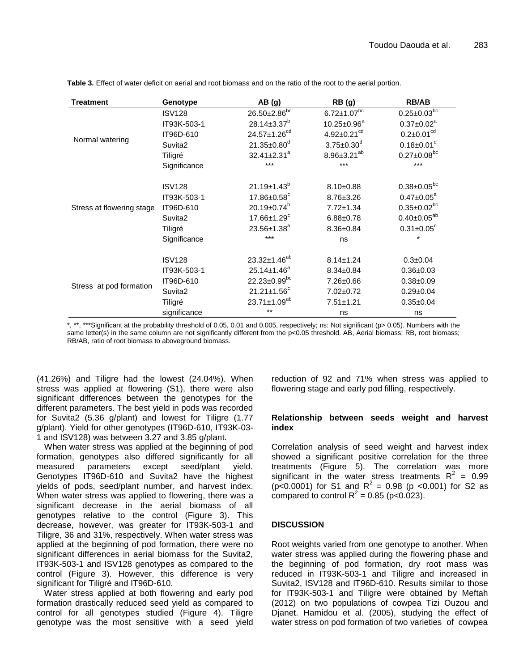| <b>Treatment</b>          | Genotype            | AB(g)                          | RB(g)                         | <b>RB/AB</b>                  |
|---------------------------|---------------------|--------------------------------|-------------------------------|-------------------------------|
|                           | <b>ISV128</b>       | 26.50±2.86 <sup>bc</sup>       | $6.72 \pm 1.07^{bc}$          | $0.25 \pm 0.03^{bc}$          |
| Normal watering           | IT93K-503-1         | $28.14 \pm 3.37^b$             | $10.25 \pm 0.96^a$            | $0.37 \pm 0.02^a$             |
|                           | IT96D-610           | 24.57±1.26 <sup>cd</sup>       | $4.92 \pm 0.21$ <sup>cd</sup> | $0.2 \pm 0.01$ <sup>cd</sup>  |
|                           | Suvita2             | $21.35 \pm 0.80$ <sup>d</sup>  | $3.75 \pm 0.30^d$             | $0.18 \pm 0.01$ <sup>d</sup>  |
|                           | Tiligré             | $32.41 \pm 2.31^a$             | $8.96 \pm 3.21^{ab}$          | $0.27 \pm 0.08$ <sup>bc</sup> |
|                           | Significance        | $***$                          | $***$                         | $***$                         |
| Stress at flowering stage | <b>ISV128</b>       | $21.19 \pm 1.43^b$             | $8.10+0.88$                   | $0.38 \pm 0.05^{bc}$          |
|                           | IT93K-503-1         | $17.86 \pm 0.58$ <sup>c</sup>  | $8.76 \pm 3.26$               | $0.47 \pm 0.05^a$             |
|                           | IT96D-610           | 20.19±0.74 <sup>b</sup>        | $7.72 \pm 1.34$               | $0.35 \pm 0.02$ <sup>bc</sup> |
|                           | Suvita <sub>2</sub> | $17.66 \pm 1.29$ <sup>c</sup>  | $6.88 \pm 0.78$               | $0.40 \pm 0.05^{ab}$          |
|                           | Tiligré             | $23.56 \pm 1.38^a$             | $8.36 \pm 0.84$               | $0.31 \pm 0.05$ <sup>c</sup>  |
|                           | Significance        | ***                            | ns                            | $\star$                       |
| Stress at pod formation   | <b>ISV128</b>       | 23.32±1.46 <sup>ab</sup>       | $8.14 \pm 1.24$               | $0.3 \pm 0.04$                |
|                           | IT93K-503-1         | $25.14 \pm 1.46^a$             | $8.34 \pm 0.84$               | $0.36 \pm 0.03$               |
|                           | IT96D-610           | $22.23 \pm 0.99$ <sup>bc</sup> | 7.26±0.66                     | $0.38 + 0.09$                 |
|                           | Suvita <sub>2</sub> | $21.21 \pm 1.56^c$             | $7.02 \pm 0.72$               | $0.29 \pm 0.04$               |
|                           | Tiligré             | 23.71±1.09 <sup>ab</sup>       | $7.51 \pm 1.21$               | $0.35 \pm 0.04$               |
|                           | significance        | $***$                          | ns                            | ns                            |

**Table 3.** Effect of water deficit on aerial and root biomass and on the ratio of the root to the aerial portion.

\*, \*\*, \*\*\*Significant at the probability threshold of 0.05, 0.01 and 0.005, respectively; ns: Not significant (p> 0.05). Numbers with the same letter(s) in the same column are not significantly different from the p<0.05 threshold. AB, Aerial biomass; RB, root biomass; RB/AB, ratio of root biomass to aboveground biomass.

(41.26%) and Tiligre had the lowest (24.04%). When stress was applied at flowering (S1), there were also significant differences between the genotypes for the different parameters. The best yield in pods was recorded for Suvita2 (5.36 g/plant) and lowest for Tiligre (1.77 g/plant). Yield for other genotypes (IT96D-610, IT93K-03- 1 and ISV128) was between 3.27 and 3.85 g/plant.

When water stress was applied at the beginning of pod formation, genotypes also differed significantly for all measured parameters except seed/plant yield. Genotypes IT96D-610 and Suvita2 have the highest yields of pods, seed/plant number, and harvest index. When water stress was applied to flowering, there was a significant decrease in the aerial biomass of all genotypes relative to the control (Figure 3). This decrease, however, was greater for IT93K-503-1 and Tiligre, 36 and 31%, respectively. When water stress was applied at the beginning of pod formation, there were no significant differences in aerial biomass for the Suvita2, IT93K-503-1 and ISV128 genotypes as compared to the control (Figure 3). However, this difference is very significant for Tiligré and IT96D-610.

Water stress applied at both flowering and early pod formation drastically reduced seed yield as compared to control for all genotypes studied (Figure 4). Tiligre genotype was the most sensitive with a seed yield reduction of 92 and 71% when stress was applied to flowering stage and early pod filling, respectively.

### **Relationship between seeds weight and harvest index**

Correlation analysis of seed weight and harvest index showed a significant positive correlation for the three treatments (Figure 5). The correlation was more significant in the water stress treatments  $R^2 = 0.99$  $(p<0.0001)$  for S1 and R<sup>2</sup> = 0.98 (p < 0.001) for S2 as compared to control  $R^2$  = 0.85 (p<0.023).

# **DISCUSSION**

Root weights varied from one genotype to another. When water stress was applied during the flowering phase and the beginning of pod formation, dry root mass was reduced in IT93K-503-1 and Tiligre and increased in Suvita2, ISV128 and IT96D-610. Results similar to those for IT93K-503-1 and Tiligre were obtained by Meftah (2012) on two populations of cowpea Tizi Ouzou and Djanet. Hamidou et al. (2005), studying the effect of water stress on pod formation of two varieties of cowpea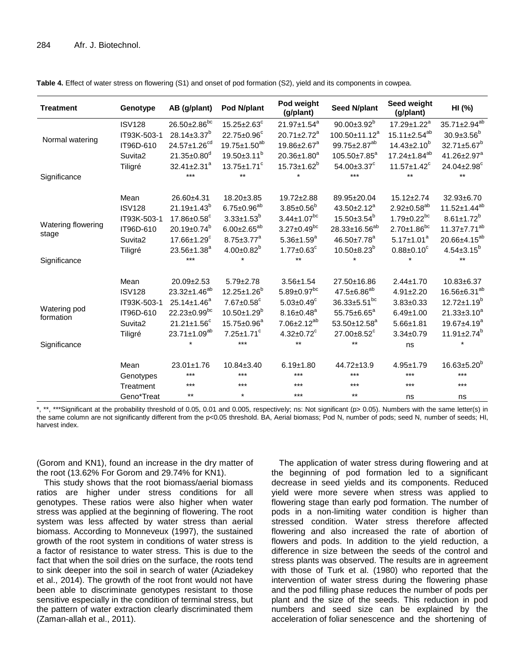| <b>Treatment</b>          | Genotype      | AB (g/plant)                   | Pod N/plant                   | Pod weight<br>(g/plant)       | <b>Seed N/plant</b>           | Seed weight<br>(g/plant)       | HI (%)                   |
|---------------------------|---------------|--------------------------------|-------------------------------|-------------------------------|-------------------------------|--------------------------------|--------------------------|
|                           | <b>ISV128</b> | $26.50 \pm 2.86$ <sup>bc</sup> | $15.25 \pm 2.63^c$            | 21.97±1.54 <sup>a</sup>       | $90.00 \pm 3.92^b$            | $17.29 \pm 1.22^a$             | $35.71 \pm 2.94^{ab}$    |
| Normal watering           | IT93K-503-1   | $28.14 \pm 3.37^b$             | 22.75±0.96°                   | 20.71±2.72 <sup>a</sup>       | 100.50±11.12 <sup>a</sup>     | $15.11 \pm 2.54$ <sup>ab</sup> | $30.9 \pm 3.56^b$        |
|                           | IT96D-610     | 24.57±1.26 <sup>cd</sup>       | $19.75 \pm 1.50^{ab}$         | $19.86 \pm 2.67$ <sup>a</sup> | 99.75±2.87 <sup>ab</sup>      | $14.43 \pm 2.10^{b}$           | 32.71±5.67 <sup>b</sup>  |
|                           | Suvita2       | $21.35 \pm 0.80$ <sup>d</sup>  | $19.50 \pm 3.11^b$            | $20.36 \pm 1.80^a$            | 105.50±7.85 <sup>a</sup>      | $17.24 \pm 1.84^{ab}$          | 41.26±2.97 <sup>a</sup>  |
|                           | Tiligré       | $32.41 \pm 2.31^a$             | $13.75 \pm 1.71$ <sup>c</sup> | $15.73 \pm 1.62^b$            | $54.00 \pm 3.37$ <sup>c</sup> | $11.57 \pm 1.42$ <sup>c</sup>  | 24.04±2.98 <sup>c</sup>  |
| Significance              |               | ***                            | $***$                         |                               | $***$                         | $***$                          | $**$                     |
|                           | Mean          | 26.60±4.31                     | 18.20±3.85                    | 19.72±2.88                    | 89.95±20.04                   | $15.12 \pm 2.74$               | 32.93±6.70               |
|                           | <b>ISV128</b> | $21.19 \pm 1.43^b$             | $6.75 \pm 0.96^{ab}$          | $3.85 \pm 0.56^b$             | 43.50±2.12 <sup>a</sup>       | $2.92 \pm 0.58^{ab}$           | 11.52±1.44 <sup>ab</sup> |
| Watering flowering        | IT93K-503-1   | 17.86±0.58 <sup>c</sup>        | $3.33 \pm 1.53^b$             | $3.44 \pm 1.07^{bc}$          | $15.50 \pm 3.54^b$            | $1.79 \pm 0.22^{bc}$           | $8.61 \pm 1.72^{b}$      |
|                           | IT96D-610     | $20.19 \pm 0.74^b$             | $6.00 \pm 2.65^{ab}$          | $3.27 \pm 0.49$ <sup>bc</sup> | 28.33±16.56 <sup>ab</sup>     | $2.70 \pm 1.86^{bc}$           | $11.37 \pm 7.71^{ab}$    |
| stage                     | Suvita2       | $17.66 \pm 1.29$ <sup>c</sup>  | $8.75 \pm 3.77^a$             | $5.36 \pm 1.59^a$             | 46.50±7.78 <sup>a</sup>       | $5.17 \pm 1.01^a$              | 20.66±4.15 <sup>ab</sup> |
|                           | Tiligré       | 23.56±1.38 <sup>a</sup>        | $4.00 \pm 0.82^b$             | $1.77 \pm 0.63$ <sup>c</sup>  | $10.50 \pm 8.23^b$            | $0.88 \pm 0.10^c$              | $4.54 \pm 3.15^b$        |
| Significance              |               | $***$                          | $\star$                       | $***$                         |                               | $\star$                        | $\star\star$             |
|                           | Mean          | 20.09±2.53                     | $5.79 \pm 2.78$               | $3.56 \pm 1.54$               | 27.50±16.86                   | $2.44 \pm 1.70$                | 10.83±6.37               |
|                           | <b>ISV128</b> | 23.32±1.46 <sup>ab</sup>       | $12.25 \pm 1.26^b$            | $5.89 \pm 0.97^{bc}$          | $47.5 \pm 6.86^{ab}$          | $4.91 \pm 2.20$                | 16.56±6.31 <sup>ab</sup> |
|                           | IT93K-503-1   | $25.14 \pm 1.46^a$             | $7.67 \pm 0.58$ <sup>c</sup>  | $5.03 \pm 0.49$ <sup>c</sup>  | 36.33±5.51bc                  | $3.83 \pm 0.33$                | $12.72 \pm 1.19^b$       |
| Watering pod<br>formation | IT96D-610     | 22.23±0.99bc                   | $10.50 \pm 1.29^b$            | $8.16 \pm 0.48^a$             | 55.75±6.65 <sup>a</sup>       | $6.49 \pm 1.00$                | $21.33 \pm 3.10^a$       |
|                           | Suvita2       | $21.21 \pm 1.56^c$             | 15.75±0.96 <sup>a</sup>       | $7.06 \pm 2.12^{ab}$          | 53.50±12.58 <sup>a</sup>      | $5.66 \pm 1.81$                | 19.67±4.19 <sup>a</sup>  |
|                           | Tiligré       | $23.71 \pm 1.09^{ab}$          | $7.25 \pm 1.71$ <sup>c</sup>  | $4.32 \pm 0.72$ <sup>c</sup>  | 27.00±8.52 <sup>c</sup>       | $3.34 \pm 0.79$                | $11.91 \pm 2.74^b$       |
| Significance              |               |                                | $***$                         | $***$                         | $***$                         | ns                             |                          |
|                           | Mean          | 23.01±1.76                     | $10.84 \pm 3.40$              | $6.19 + 1.80$                 | 44.72±13.9                    | $4.95 + 1.79$                  | $16.63 \pm 5.20^b$       |
|                           | Genotypes     | ***                            | $***$                         | ***                           | ***                           | $***$                          | $***$                    |
|                           | Treatment     | ***                            | $***$                         | ***                           | ***                           | $***$                          | $***$                    |
|                           | Geno*Treat    | $***$                          | $\star$                       | ***                           | $***$                         | ns                             | ns                       |

**Table 4.** Effect of water stress on flowering (S1) and onset of pod formation (S2), yield and its components in cowpea.

\*, \*\*, \*\*\*Significant at the probability threshold of 0.05, 0.01 and 0.005, respectively; ns: Not significant (p> 0.05). Numbers with the same letter(s) in the same column are not significantly different from the p<0.05 threshold. BA, Aerial biomass; Pod N, number of pods; seed N, number of seeds; HI, harvest index.

(Gorom and KN1), found an increase in the dry matter of the root (13.62% For Gorom and 29.74% for KN1).

This study shows that the root biomass/aerial biomass ratios are higher under stress conditions for all genotypes. These ratios were also higher when water stress was applied at the beginning of flowering. The root system was less affected by water stress than aerial biomass. According to Monneveux (1997), the sustained growth of the root system in conditions of water stress is a factor of resistance to water stress. This is due to the fact that when the soil dries on the surface, the roots tend to sink deeper into the soil in search of water (Aziadekey et al., 2014). The growth of the root front would not have been able to discriminate genotypes resistant to those sensitive especially in the condition of terminal stress, but the pattern of water extraction clearly discriminated them (Zaman-allah et al., 2011).

The application of water stress during flowering and at the beginning of pod formation led to a significant decrease in seed yields and its components. Reduced yield were more severe when stress was applied to flowering stage than early pod formation. The number of pods in a non-limiting water condition is higher than stressed condition. Water stress therefore affected flowering and also increased the rate of abortion of flowers and pods. In addition to the yield reduction, a difference in size between the seeds of the control and stress plants was observed. The results are in agreement with those of Turk et al. (1980) who reported that the intervention of water stress during the flowering phase and the pod filling phase reduces the number of pods per plant and the size of the seeds. This reduction in pod numbers and seed size can be explained by the acceleration of foliar senescence and the shortening of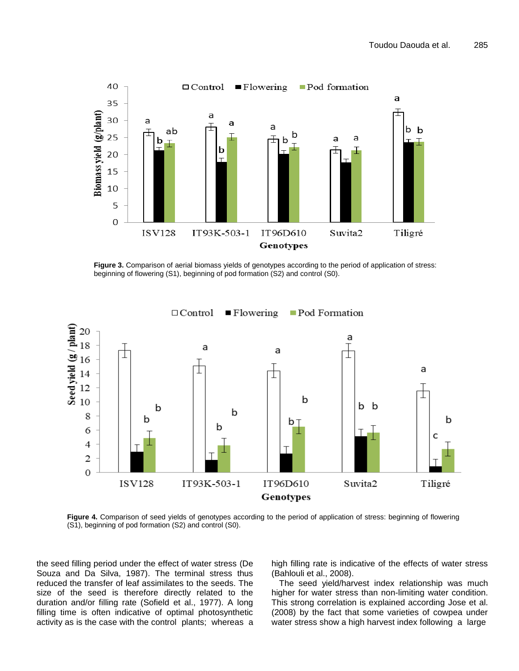

**Figure 3.** Comparison of aerial biomass yields of genotypes according to the period of application of stress: beginning of flowering (S1), beginning of pod formation (S2) and control (S0).



**Figure 4.** Comparison of seed yields of genotypes according to the period of application of stress: beginning of flowering (S1), beginning of pod formation (S2) and control (S0).

the seed filling period under the effect of water stress (De Souza and Da Silva, 1987). The terminal stress thus reduced the transfer of leaf assimilates to the seeds. The size of the seed is therefore directly related to the duration and/or filling rate (Sofield et al., 1977). A long filling time is often indicative of optimal photosynthetic activity as is the case with the control plants; whereas a high filling rate is indicative of the effects of water stress (Bahlouli et al., 2008).

The seed yield/harvest index relationship was much higher for water stress than non-limiting water condition. This strong correlation is explained according Jose et al. (2008) by the fact that some varieties of cowpea under water stress show a high harvest index following a large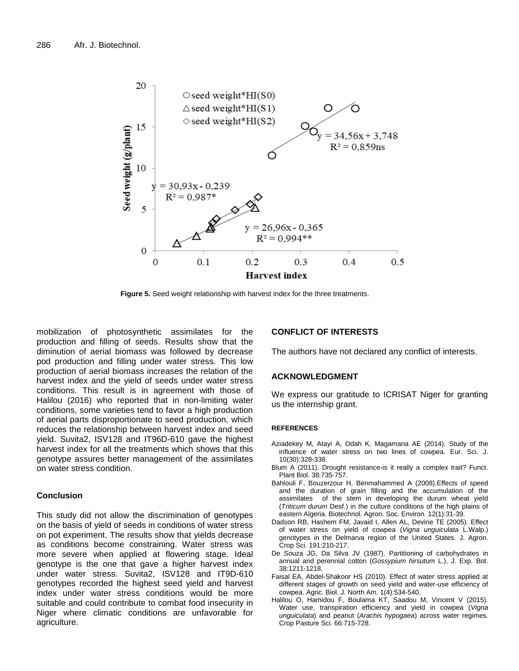

**Figure 5.** Seed weight relationship with harvest index for the three treatments.

mobilization of photosynthetic assimilates for the production and filling of seeds. Results show that the diminution of aerial biomass was followed by decrease pod production and filling under water stress. This low production of aerial biomass increases the relation of the harvest index and the yield of seeds under water stress conditions. This result is in agreement with those of Halilou (2016) who reported that in non-limiting water conditions, some varieties tend to favor a high production of aerial parts disproportionate to seed production, which reduces the relationship between harvest index and seed yield. Suvita2, ISV128 and IT96D-610 gave the highest harvest index for all the treatments which shows that this genotype assures better management of the assimilates on water stress condition.

# **Conclusion**

This study did not allow the discrimination of genotypes on the basis of yield of seeds in conditions of water stress on pot experiment. The results show that yields decrease as conditions become constraining. Water stress was more severe when applied at flowering stage. Ideal genotype is the one that gave a higher harvest index under water stress. Suvita2, ISV128 and IT9D-610 genotypes recorded the highest seed yield and harvest index under water stress conditions would be more suitable and could contribute to combat food insecurity in Niger where climatic conditions are unfavorable for agriculture.

#### **CONFLICT OF INTERESTS**

The authors have not declared any conflict of interests.

## **ACKNOWLEDGMENT**

We express our gratitude to ICRISAT Niger for granting us the internship grant.

#### **REFERENCES**

- Aziadekey M, Atayi A, Odah K, Magamana AE (2014). Study of the influence of water stress on two lines of cowpea. Eur. Sci. J. 10(30):328-338.
- Blum A (2011). Drought resistance-is it really a complex trait? Funct. Plant Biol. 38:735-757.
- Bahlouli F, Bouzerzour H, Benmahammed A (2008).Effects of speed and the duration of grain filling and the accumulation of the assimilates of the stem in developing the durum wheat yield (*Triticum durum* Desf.) in the culture conditions of the high plains of eastern Algeria. Biotechnol. Agron. Soc. Environ. 12(1):31-39.
- Dadson RB, Hashem FM, Javaid I, Allen AL, Devine TE (2005). Effect of water stress on yield of cowpea (*Vigna unguiculata* L.Walp.) genotypes in the Delmarva region of the United States. J. Agron. Crop Sci. 191:210-217.
- De Souza JG, Da Silva JV (1987). Partitioning of carbohydrates in annual and perennial cotton (*Gossypium hirsutum* L.), J. Exp. Bot. 38:1211-1218.
- Faisal EA, Abdel-Shakoor HS (2010). Effect of water stress applied at different stages of growth on seed yield and water-use efficiency of cowpea. Agric. Biol. J. North Am. 1(4):534-540.
- Halilou O, Hamidou F, Boulama KT, Saadou M, Vincent V (2015). Water use, transpiration efficiency and yield in cowpea (*Vigna unguiculata*) and peanut (*Arachis hypogaea*) across water regimes. Crop Pasture Sci. 66:715-728.